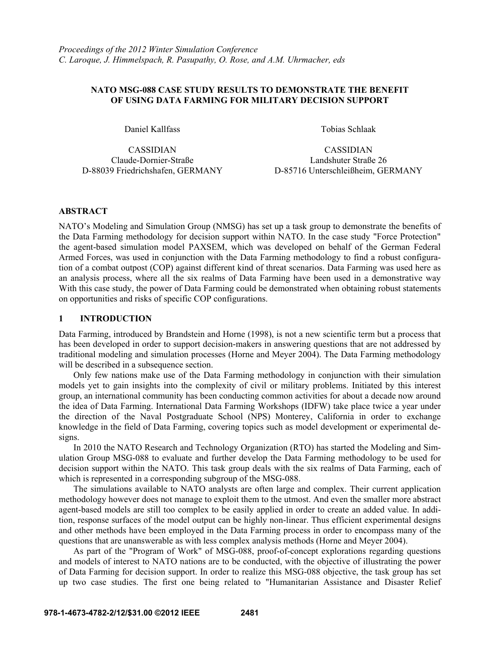## **NATO MSG-088 CASE STUDY RESULTS TO DEMONSTRATE THE BENEFIT OF USING DATA FARMING FOR MILITARY DECISION SUPPORT**

CASSIDIAN CASSIDIAN

Daniel Kallfass Tobias Schlaak

Claude-Dornier-Straße Landshuter Straße 26 D-88039 Friedrichshafen, GERMANY D-85716 Unterschleißheim, GERMANY

## **ABSTRACT**

NATO's Modeling and Simulation Group (NMSG) has set up a task group to demonstrate the benefits of the Data Farming methodology for decision support within NATO. In the case study "Force Protection" the agent-based simulation model PAXSEM, which was developed on behalf of the German Federal Armed Forces, was used in conjunction with the Data Farming methodology to find a robust configuration of a combat outpost (COP) against different kind of threat scenarios. Data Farming was used here as an analysis process, where all the six realms of Data Farming have been used in a demonstrative way With this case study, the power of Data Farming could be demonstrated when obtaining robust statements on opportunities and risks of specific COP configurations.

#### **1 INTRODUCTION**

Data Farming, introduced by Brandstein and Horne (1998), is not a new scientific term but a process that has been developed in order to support decision-makers in answering questions that are not addressed by traditional modeling and simulation processes (Horne and Meyer 2004). The Data Farming methodology will be described in a subsequence section.

 Only few nations make use of the Data Farming methodology in conjunction with their simulation models yet to gain insights into the complexity of civil or military problems. Initiated by this interest group, an international community has been conducting common activities for about a decade now around the idea of Data Farming. International Data Farming Workshops (IDFW) take place twice a year under the direction of the Naval Postgraduate School (NPS) Monterey, California in order to exchange knowledge in the field of Data Farming, covering topics such as model development or experimental designs.

 In 2010 the NATO Research and Technology Organization (RTO) has started the Modeling and Simulation Group MSG-088 to evaluate and further develop the Data Farming methodology to be used for decision support within the NATO. This task group deals with the six realms of Data Farming, each of which is represented in a corresponding subgroup of the MSG-088.

 The simulations available to NATO analysts are often large and complex. Their current application methodology however does not manage to exploit them to the utmost. And even the smaller more abstract agent-based models are still too complex to be easily applied in order to create an added value. In addition, response surfaces of the model output can be highly non-linear. Thus efficient experimental designs and other methods have been employed in the Data Farming process in order to encompass many of the questions that are unanswerable as with less complex analysis methods (Horne and Meyer 2004).

 As part of the "Program of Work" of MSG-088, proof-of-concept explorations regarding questions and models of interest to NATO nations are to be conducted, with the objective of illustrating the power of Data Farming for decision support. In order to realize this MSG-088 objective, the task group has set up two case studies. The first one being related to "Humanitarian Assistance and Disaster Relief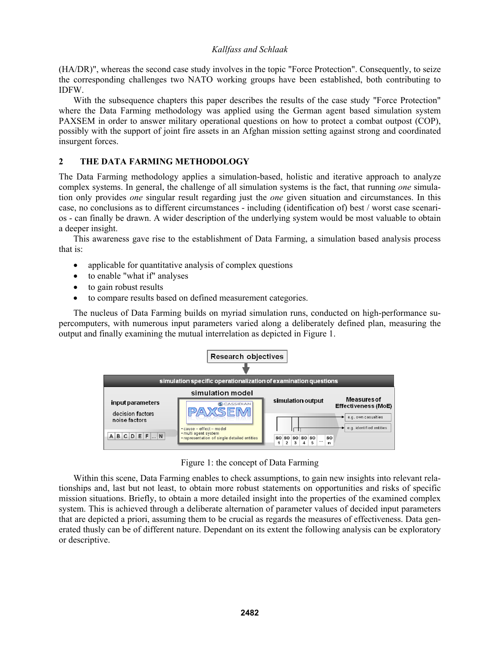(HA/DR)", whereas the second case study involves in the topic "Force Protection". Consequently, to seize the corresponding challenges two NATO working groups have been established, both contributing to IDFW.

 With the subsequence chapters this paper describes the results of the case study "Force Protection" where the Data Farming methodology was applied using the German agent based simulation system PAXSEM in order to answer military operational questions on how to protect a combat outpost (COP), possibly with the support of joint fire assets in an Afghan mission setting against strong and coordinated insurgent forces.

# **2 THE DATA FARMING METHODOLOGY**

The Data Farming methodology applies a simulation-based, holistic and iterative approach to analyze complex systems. In general, the challenge of all simulation systems is the fact, that running *one* simulation only provides *one* singular result regarding just the *one* given situation and circumstances. In this case, no conclusions as to different circumstances - including (identification of) best / worst case scenarios - can finally be drawn. A wider description of the underlying system would be most valuable to obtain a deeper insight.

 This awareness gave rise to the establishment of Data Farming, a simulation based analysis process that is:

- applicable for quantitative analysis of complex questions
- to enable "what if" analyses
- to gain robust results
- to compare results based on defined measurement categories.

 The nucleus of Data Farming builds on myriad simulation runs, conducted on high-performance supercomputers, with numerous input parameters varied along a deliberately defined plan, measuring the output and finally examining the mutual interrelation as depicted in Figure 1.

| <b>Research objectives</b>                                      |                                                                                                        |                                              |                                                 |  |  |  |
|-----------------------------------------------------------------|--------------------------------------------------------------------------------------------------------|----------------------------------------------|-------------------------------------------------|--|--|--|
| simulation specific operationalization of examination questions |                                                                                                        |                                              |                                                 |  |  |  |
| simulation model                                                |                                                                                                        |                                              |                                                 |  |  |  |
| input parameters                                                | <b>G</b> CASSIDIAN                                                                                     | simulation output                            | <b>Measures of</b><br>Effectiveness (MoE)       |  |  |  |
| decision factors<br>noise factors                               | $\cdot$ cause – effect – model<br>· multi agent system<br>· representation of single detailed entities |                                              | e.g. own casualties<br>e.g. identified entities |  |  |  |
| BCDEF<br>$\ldots$ N<br>А                                        |                                                                                                        | SO SO SO SO SO<br><b>SO</b><br>$\cdots$<br>n |                                                 |  |  |  |

Figure 1: the concept of Data Farming

 Within this scene, Data Farming enables to check assumptions, to gain new insights into relevant relationships and, last but not least, to obtain more robust statements on opportunities and risks of specific mission situations. Briefly, to obtain a more detailed insight into the properties of the examined complex system. This is achieved through a deliberate alternation of parameter values of decided input parameters that are depicted a priori, assuming them to be crucial as regards the measures of effectiveness. Data generated thusly can be of different nature. Dependant on its extent the following analysis can be exploratory or descriptive.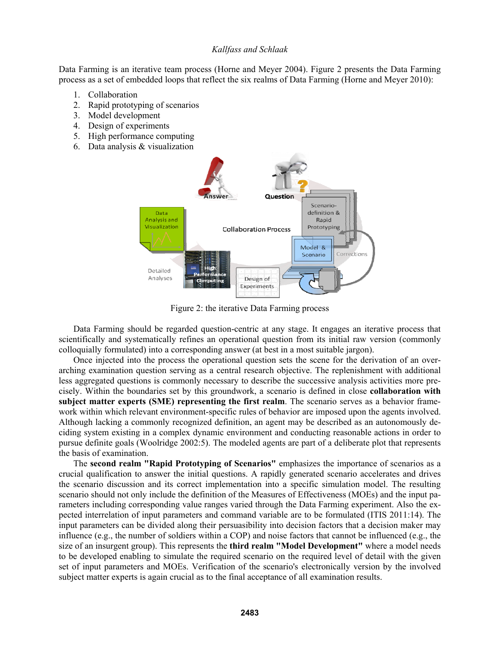Data Farming is an iterative team process (Horne and Meyer 2004). Figure 2 presents the Data Farming process as a set of embedded loops that reflect the six realms of Data Farming (Horne and Meyer 2010):

- 1. Collaboration
- 2. Rapid prototyping of scenarios
- 3. Model development
- 4. Design of experiments
- 5. High performance computing
- 6. Data analysis & visualization



Figure 2: the iterative Data Farming process

 Data Farming should be regarded question-centric at any stage. It engages an iterative process that scientifically and systematically refines an operational question from its initial raw version (commonly colloquially formulated) into a corresponding answer (at best in a most suitable jargon).

 Once injected into the process the operational question sets the scene for the derivation of an overarching examination question serving as a central research objective. The replenishment with additional less aggregated questions is commonly necessary to describe the successive analysis activities more precisely. Within the boundaries set by this groundwork, a scenario is defined in close **collaboration with subject matter experts (SME) representing the first realm**. The scenario serves as a behavior framework within which relevant environment-specific rules of behavior are imposed upon the agents involved. Although lacking a commonly recognized definition, an agent may be described as an autonomously deciding system existing in a complex dynamic environment and conducting reasonable actions in order to pursue definite goals (Woolridge 2002:5). The modeled agents are part of a deliberate plot that represents the basis of examination.

 The **second realm "Rapid Prototyping of Scenarios"** emphasizes the importance of scenarios as a crucial qualification to answer the initial questions. A rapidly generated scenario accelerates and drives the scenario discussion and its correct implementation into a specific simulation model. The resulting scenario should not only include the definition of the Measures of Effectiveness (MOEs) and the input parameters including corresponding value ranges varied through the Data Farming experiment. Also the expected interrelation of input parameters and command variable are to be formulated (ITIS 2011:14). The input parameters can be divided along their persuasibility into decision factors that a decision maker may influence (e.g., the number of soldiers within a COP) and noise factors that cannot be influenced (e.g., the size of an insurgent group). This represents the **third realm "Model Development"** where a model needs to be developed enabling to simulate the required scenario on the required level of detail with the given set of input parameters and MOEs. Verification of the scenario's electronically version by the involved subject matter experts is again crucial as to the final acceptance of all examination results.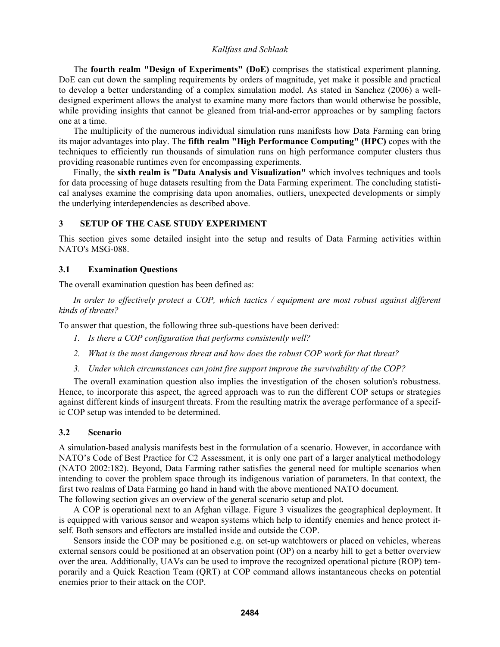The **fourth realm "Design of Experiments" (DoE)** comprises the statistical experiment planning. DoE can cut down the sampling requirements by orders of magnitude, yet make it possible and practical to develop a better understanding of a complex simulation model. As stated in Sanchez (2006) a welldesigned experiment allows the analyst to examine many more factors than would otherwise be possible, while providing insights that cannot be gleaned from trial-and-error approaches or by sampling factors one at a time.

 The multiplicity of the numerous individual simulation runs manifests how Data Farming can bring its major advantages into play. The **fifth realm "High Performance Computing" (HPC)** copes with the techniques to efficiently run thousands of simulation runs on high performance computer clusters thus providing reasonable runtimes even for encompassing experiments.

 Finally, the **sixth realm is "Data Analysis and Visualization"** which involves techniques and tools for data processing of huge datasets resulting from the Data Farming experiment. The concluding statistical analyses examine the comprising data upon anomalies, outliers, unexpected developments or simply the underlying interdependencies as described above.

## **3 SETUP OF THE CASE STUDY EXPERIMENT**

This section gives some detailed insight into the setup and results of Data Farming activities within NATO's MSG-088.

## **3.1 Examination Questions**

The overall examination question has been defined as:

 *In order to effectively protect a COP, which tactics / equipment are most robust against different kinds of threats?*

To answer that question, the following three sub-questions have been derived:

- *1. Is there a COP configuration that performs consistently well?*
- *2. What is the most dangerous threat and how does the robust COP work for that threat?*
- *3. Under which circumstances can joint fire support improve the survivability of the COP?*

 The overall examination question also implies the investigation of the chosen solution's robustness. Hence, to incorporate this aspect, the agreed approach was to run the different COP setups or strategies against different kinds of insurgent threats. From the resulting matrix the average performance of a specific COP setup was intended to be determined.

#### **3.2 Scenario**

A simulation-based analysis manifests best in the formulation of a scenario. However, in accordance with NATO's Code of Best Practice for C2 Assessment, it is only one part of a larger analytical methodology (NATO 2002:182). Beyond, Data Farming rather satisfies the general need for multiple scenarios when intending to cover the problem space through its indigenous variation of parameters. In that context, the first two realms of Data Farming go hand in hand with the above mentioned NATO document.

The following section gives an overview of the general scenario setup and plot.

 A COP is operational next to an Afghan village. Figure 3 visualizes the geographical deployment. It is equipped with various sensor and weapon systems which help to identify enemies and hence protect itself. Both sensors and effectors are installed inside and outside the COP.

Sensors inside the COP may be positioned e.g. on set-up watchtowers or placed on vehicles, whereas external sensors could be positioned at an observation point (OP) on a nearby hill to get a better overview over the area. Additionally, UAVs can be used to improve the recognized operational picture (ROP) temporarily and a Quick Reaction Team (QRT) at COP command allows instantaneous checks on potential enemies prior to their attack on the COP.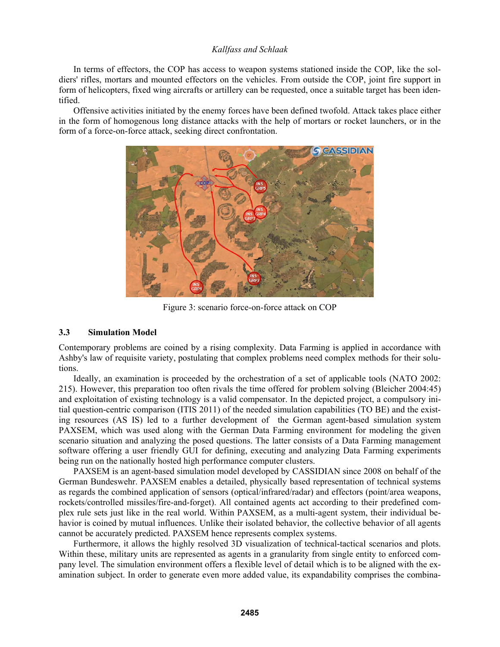In terms of effectors, the COP has access to weapon systems stationed inside the COP, like the soldiers' rifles, mortars and mounted effectors on the vehicles. From outside the COP, joint fire support in form of helicopters, fixed wing aircrafts or artillery can be requested, once a suitable target has been identified.

 Offensive activities initiated by the enemy forces have been defined twofold. Attack takes place either in the form of homogenous long distance attacks with the help of mortars or rocket launchers, or in the form of a force-on-force attack, seeking direct confrontation.



Figure 3: scenario force-on-force attack on COP

#### **3.3 Simulation Model**

Contemporary problems are coined by a rising complexity. Data Farming is applied in accordance with Ashby's law of requisite variety, postulating that complex problems need complex methods for their solutions.

 Ideally, an examination is proceeded by the orchestration of a set of applicable tools (NATO 2002: 215). However, this preparation too often rivals the time offered for problem solving (Bleicher 2004:45) and exploitation of existing technology is a valid compensator. In the depicted project, a compulsory initial question-centric comparison (ITIS 2011) of the needed simulation capabilities (TO BE) and the existing resources (AS IS) led to a further development of the German agent-based simulation system PAXSEM, which was used along with the German Data Farming environment for modeling the given scenario situation and analyzing the posed questions. The latter consists of a Data Farming management software offering a user friendly GUI for defining, executing and analyzing Data Farming experiments being run on the nationally hosted high performance computer clusters.

 PAXSEM is an agent-based simulation model developed by CASSIDIAN since 2008 on behalf of the German Bundeswehr. PAXSEM enables a detailed, physically based representation of technical systems as regards the combined application of sensors (optical/infrared/radar) and effectors (point/area weapons, rockets/controlled missiles/fire-and-forget). All contained agents act according to their predefined complex rule sets just like in the real world. Within PAXSEM, as a multi-agent system, their individual behavior is coined by mutual influences. Unlike their isolated behavior, the collective behavior of all agents cannot be accurately predicted. PAXSEM hence represents complex systems.

 Furthermore, it allows the highly resolved 3D visualization of technical-tactical scenarios and plots. Within these, military units are represented as agents in a granularity from single entity to enforced company level. The simulation environment offers a flexible level of detail which is to be aligned with the examination subject. In order to generate even more added value, its expandability comprises the combina-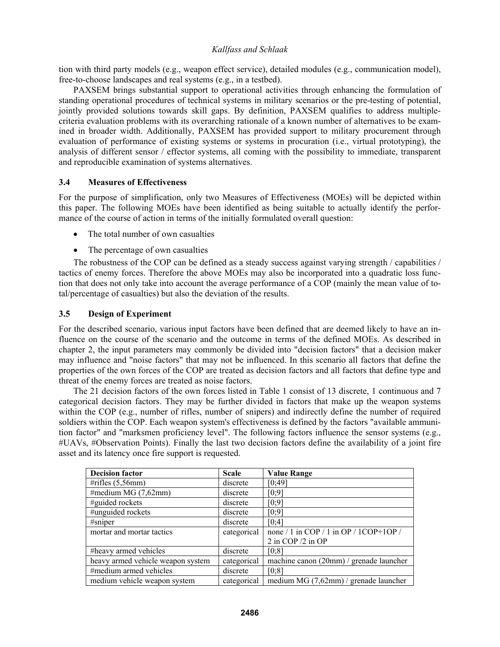tion with third party models (e.g., weapon effect service), detailed modules (e.g., communication model), free-to-choose landscapes and real systems (e.g., in a testbed).

 PAXSEM brings substantial support to operational activities through enhancing the formulation of standing operational procedures of technical systems in military scenarios or the pre-testing of potential, jointly provided solutions towards skill gaps. By definition, PAXSEM qualifies to address multiplecriteria evaluation problems with its overarching rationale of a known number of alternatives to be examined in broader width. Additionally, PAXSEM has provided support to military procurement through evaluation of performance of existing systems or systems in procuration (i.e., virtual prototyping), the analysis of different sensor / effector systems, all coming with the possibility to immediate, transparent and reproducible examination of systems alternatives.

## **3.4 Measures of Effectiveness**

For the purpose of simplification, only two Measures of Effectiveness (MOEs) will be depicted within this paper. The following MOEs have been identified as being suitable to actually identify the performance of the course of action in terms of the initially formulated overall question:

- The total number of own casualties
- The percentage of own casualties

 The robustness of the COP can be defined as a steady success against varying strength / capabilities / tactics of enemy forces. Therefore the above MOEs may also be incorporated into a quadratic loss function that does not only take into account the average performance of a COP (mainly the mean value of total/percentage of casualties) but also the deviation of the results.

## **3.5 Design of Experiment**

For the described scenario, various input factors have been defined that are deemed likely to have an influence on the course of the scenario and the outcome in terms of the defined MOEs. As described in chapter 2, the input parameters may commonly be divided into "decision factors" that a decision maker may influence and "noise factors" that may not be influenced. In this scenario all factors that define the properties of the own forces of the COP are treated as decision factors and all factors that define type and threat of the enemy forces are treated as noise factors.

 The 21 decision factors of the own forces listed in Table 1 consist of 13 discrete, 1 continuous and 7 categorical decision factors. They may be further divided in factors that make up the weapon systems within the COP (e.g., number of rifles, number of snipers) and indirectly define the number of required soldiers within the COP. Each weapon system's effectiveness is defined by the factors "available ammunition factor" and "marksmen proficiency level". The following factors influence the sensor systems (e.g., #UAVs, #Observation Points). Finally the last two decision factors define the availability of a joint fire asset and its latency once fire support is requested.

| <b>Decision factor</b>            | <b>Scale</b> | <b>Value Range</b>                              |
|-----------------------------------|--------------|-------------------------------------------------|
| #rifles $(5,56$ mm)               | discrete     | [0:49]                                          |
| #medium MG $(7,62$ mm)            | discrete     | [0;9]                                           |
| #guided rockets                   | discrete     | [0;9]                                           |
| #unguided rockets                 | discrete     | [0;9]                                           |
| #sninger                          | discrete     | [0;4]                                           |
| mortar and mortar tactics         | categorical  | none / 1 in COP / 1 in OP / 1COP+1OP /          |
|                                   |              | 2 in COP /2 in OP                               |
| #heavy armed vehicles             | discrete     | [0;8]                                           |
| heavy armed vehicle weapon system | categorical  | machine canon (20mm) / grenade launcher         |
| #medium armed vehicles            | discrete     | [0;8]                                           |
| medium vehicle weapon system      | categorical  | medium MG $(7,62 \text{mm})$ / grenade launcher |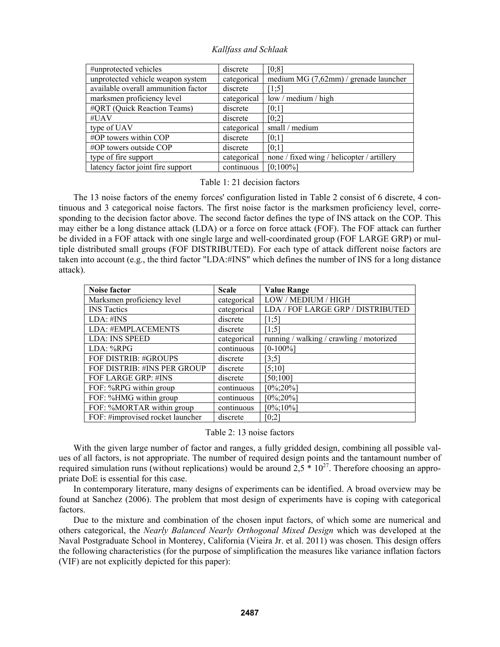| #unprotected vehicles               | discrete    | [0;8]                                      |
|-------------------------------------|-------------|--------------------------------------------|
| unprotected vehicle weapon system   | categorical | medium MG (7,62mm) / grenade launcher      |
| available overall ammunition factor | discrete    | [1;5]                                      |
| marksmen proficiency level          | categorical | low / medium / high                        |
| #QRT (Quick Reaction Teams)         | discrete    | [0;1]                                      |
| #UAV                                | discrete    | [0;2]                                      |
| type of UAV                         | categorical | small / medium                             |
| #OP towers within COP               | discrete    | [0:1]                                      |
| $\#OP$ towers outside COP           | discrete    | [0;1]                                      |
| type of fire support                | categorical | none / fixed wing / helicopter / artillery |
| latency factor joint fire support   | continuous  | $[0;100\%]$                                |

#### Table 1: 21 decision factors

 The 13 noise factors of the enemy forces' configuration listed in Table 2 consist of 6 discrete, 4 continuous and 3 categorical noise factors. The first noise factor is the marksmen proficiency level, corresponding to the decision factor above. The second factor defines the type of INS attack on the COP. This may either be a long distance attack (LDA) or a force on force attack (FOF). The FOF attack can further be divided in a FOF attack with one single large and well-coordinated group (FOF LARGE GRP) or multiple distributed small groups (FOF DISTRIBUTED). For each type of attack different noise factors are taken into account (e.g., the third factor "LDA:#INS" which defines the number of INS for a long distance attack).

| Noise factor                     | <b>Scale</b> | <b>Value Range</b>                       |
|----------------------------------|--------------|------------------------------------------|
| Marksmen proficiency level       | categorical  | LOW / MEDIUM / HIGH                      |
| <b>INS</b> Tactics               | categorical  | LDA / FOF LARGE GRP / DISTRIBUTED        |
| LDA: #INS                        | discrete     | [1;5]                                    |
| LDA: #EMPLACEMENTS               | discrete     | [1;5]                                    |
| <b>LDA: INS SPEED</b>            | categorical  | running / walking / crawling / motorized |
| LDA: %RPG                        | continuous   | $[0-100\%]$                              |
| FOF DISTRIB: #GROUPS             | discrete     | [3;5]                                    |
| FOF DISTRIB: #INS PER GROUP      | discrete     | [5;10]                                   |
| FOF LARGE GRP: #INS              | discrete     | [50;100]                                 |
| FOF: %RPG within group           | continuous   | $[0\%;20\%]$                             |
| FOF: %HMG within group           | continuous   | $[0\%;20\%]$                             |
| FOF: %MORTAR within group        | continuous   | $[0\%;10\%]$                             |
| FOF: #improvised rocket launcher | discrete     | [0;2]                                    |

#### Table 2: 13 noise factors

 With the given large number of factor and ranges, a fully gridded design, combining all possible values of all factors, is not appropriate. The number of required design points and the tantamount number of required simulation runs (without replications) would be around  $2.5 * 10<sup>27</sup>$ . Therefore choosing an appropriate DoE is essential for this case.

 In contemporary literature, many designs of experiments can be identified. A broad overview may be found at Sanchez (2006). The problem that most design of experiments have is coping with categorical factors.

 Due to the mixture and combination of the chosen input factors, of which some are numerical and others categorical, the *Nearly Balanced Nearly Orthogonal Mixed Design* which was developed at the Naval Postgraduate School in Monterey, California (Vieira Jr. et al. 2011) was chosen. This design offers the following characteristics (for the purpose of simplification the measures like variance inflation factors (VIF) are not explicitly depicted for this paper):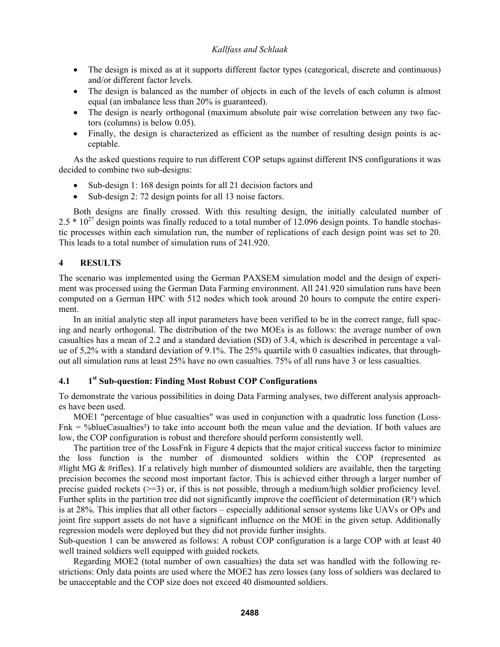- The design is mixed as at it supports different factor types (categorical, discrete and continuous) and/or different factor levels.
- The design is balanced as the number of objects in each of the levels of each column is almost equal (an imbalance less than 20% is guaranteed).
- The design is nearly orthogonal (maximum absolute pair wise correlation between any two factors (columns) is below 0.05).
- Finally, the design is characterized as efficient as the number of resulting design points is acceptable.

 As the asked questions require to run different COP setups against different INS configurations it was decided to combine two sub-designs:

- Sub-design 1: 168 design points for all 21 decision factors and
- Sub-design 2: 72 design points for all 13 noise factors.

 Both designs are finally crossed. With this resulting design, the initially calculated number of  $2.5 * 10^{27}$  design points was finally reduced to a total number of 12.096 design points. To handle stochastic processes within each simulation run, the number of replications of each design point was set to 20. This leads to a total number of simulation runs of 241.920.

# **4 RESULTS**

The scenario was implemented using the German PAXSEM simulation model and the design of experiment was processed using the German Data Farming environment. All 241.920 simulation runs have been computed on a German HPC with 512 nodes which took around 20 hours to compute the entire experiment.

 In an initial analytic step all input parameters have been verified to be in the correct range, full spacing and nearly orthogonal. The distribution of the two MOEs is as follows: the average number of own casualties has a mean of 2.2 and a standard deviation (SD) of 3.4, which is described in percentage a value of 5,2% with a standard deviation of 9.1%. The 25% quartile with 0 casualties indicates, that throughout all simulation runs at least 25% have no own casualties. 75% of all runs have 3 or less casualties.

## **4.1 1st Sub-question: Finding Most Robust COP Configurations**

To demonstrate the various possibilities in doing Data Farming analyses, two different analysis approaches have been used.

 MOE1 "percentage of blue casualties" was used in conjunction with a quadratic loss function (Loss- $Fnk = %blueCasualties<sup>2</sup>)$  to take into account both the mean value and the deviation. If both values are low, the COP configuration is robust and therefore should perform consistently well.

 The partition tree of the LossFnk in Figure 4 depicts that the major critical success factor to minimize the loss function is the number of dismounted soldiers within the COP (represented as #light MG  $&$  #rifles). If a relatively high number of dismounted soldiers are available, then the targeting precision becomes the second most important factor. This is achieved either through a larger number of precise guided rockets  $(\geq=3)$  or, if this is not possible, through a medium/high soldier proficiency level. Further splits in the partition tree did not significantly improve the coefficient of determination  $(R<sup>2</sup>)$  which is at 28%. This implies that all other factors – especially additional sensor systems like UAVs or OPs and joint fire support assets do not have a significant influence on the MOE in the given setup. Additionally regression models were deployed but they did not provide further insights.

Sub-question 1 can be answered as follows: A robust COP configuration is a large COP with at least 40 well trained soldiers well equipped with guided rockets.

 Regarding MOE2 (total number of own casualties) the data set was handled with the following restrictions: Only data points are used where the MOE2 has zero losses (any loss of soldiers was declared to be unacceptable and the COP size does not exceed 40 dismounted soldiers.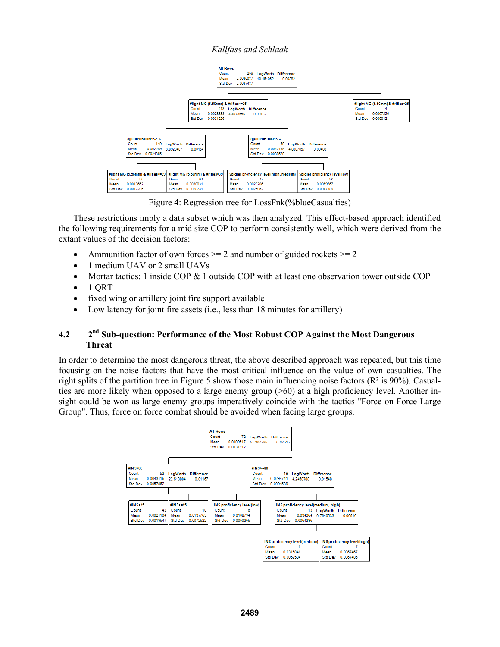

Figure 4: Regression tree for LossFnk(%blueCasualties)

 These restrictions imply a data subset which was then analyzed. This effect-based approach identified the following requirements for a mid size COP to perform consistently well, which were derived from the extant values of the decision factors:

- Ammunition factor of own forces  $\geq$  2 and number of guided rockets  $\geq$  2
- 1 medium UAV or 2 small UAVs
- Mortar tactics: 1 inside COP  $& 1$  outside COP with at least one observation tower outside COP
- $\bullet$  1 QRT
- fixed wing or artillery joint fire support available
- Low latency for joint fire assets (i.e., less than 18 minutes for artillery)

# **4.2 2nd Sub-question: Performance of the Most Robust COP Against the Most Dangerous Threat**

In order to determine the most dangerous threat, the above described approach was repeated, but this time focusing on the noise factors that have the most critical influence on the value of own casualties. The right splits of the partition tree in Figure 5 show those main influencing noise factors ( $\mathbb{R}^2$  is 90%). Casualties are more likely when opposed to a large enemy group (>60) at a high proficiency level. Another insight could be won as large enemy groups imperatively coincide with the tactics "Force on Force Large Group". Thus, force on force combat should be avoided when facing large groups.

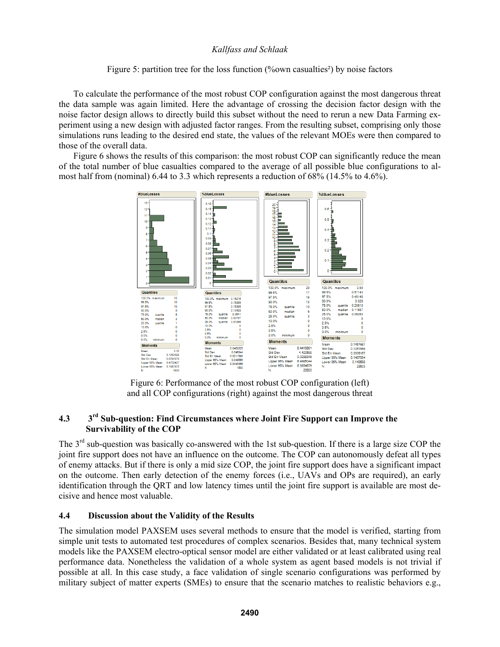## Figure 5: partition tree for the loss function (%own casualties<sup>2</sup>) by noise factors

 To calculate the performance of the most robust COP configuration against the most dangerous threat the data sample was again limited. Here the advantage of crossing the decision factor design with the noise factor design allows to directly build this subset without the need to rerun a new Data Farming experiment using a new design with adjusted factor ranges. From the resulting subset, comprising only those simulations runs leading to the desired end state, the values of the relevant MOEs were then compared to those of the overall data.

 Figure 6 shows the results of this comparison: the most robust COP can significantly reduce the mean of the total number of blue casualties compared to the average of all possible blue configurations to almost half from (nominal) 6.44 to 3.3 which represents a reduction of 68% (14.5% to 4.6%).



Figure 6: Performance of the most robust COP configuration (left) and all COP configurations (right) against the most dangerous threat

# **4.3 3rd Sub-question: Find Circumstances where Joint Fire Support can Improve the Survivability of the COP**

The 3<sup>rd</sup> sub-question was basically co-answered with the 1st sub-question. If there is a large size COP the joint fire support does not have an influence on the outcome. The COP can autonomously defeat all types of enemy attacks. But if there is only a mid size COP, the joint fire support does have a significant impact on the outcome. Then early detection of the enemy forces (i.e., UAVs and OPs are required), an early identification through the QRT and low latency times until the joint fire support is available are most decisive and hence most valuable.

#### **4.4 Discussion about the Validity of the Results**

The simulation model PAXSEM uses several methods to ensure that the model is verified, starting from simple unit tests to automated test procedures of complex scenarios. Besides that, many technical system models like the PAXSEM electro-optical sensor model are either validated or at least calibrated using real performance data. Nonetheless the validation of a whole system as agent based models is not trivial if possible at all. In this case study, a face validation of single scenario configurations was performed by military subject of matter experts (SMEs) to ensure that the scenario matches to realistic behaviors e.g.,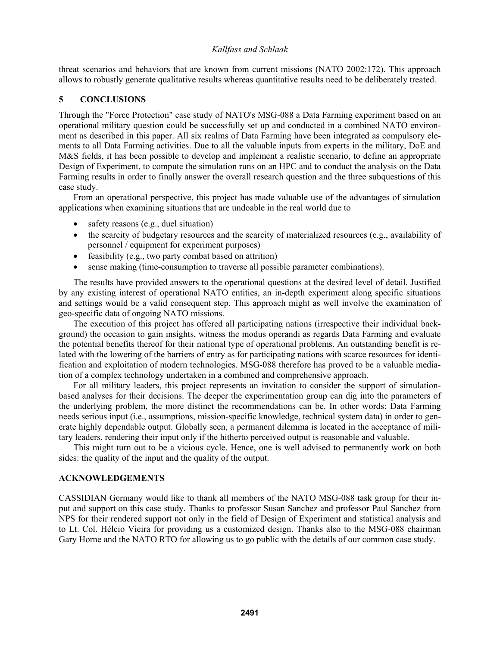threat scenarios and behaviors that are known from current missions (NATO 2002:172). This approach allows to robustly generate qualitative results whereas quantitative results need to be deliberately treated.

## **5 CONCLUSIONS**

Through the "Force Protection" case study of NATO's MSG-088 a Data Farming experiment based on an operational military question could be successfully set up and conducted in a combined NATO environment as described in this paper. All six realms of Data Farming have been integrated as compulsory elements to all Data Farming activities. Due to all the valuable inputs from experts in the military, DoE and M&S fields, it has been possible to develop and implement a realistic scenario, to define an appropriate Design of Experiment, to compute the simulation runs on an HPC and to conduct the analysis on the Data Farming results in order to finally answer the overall research question and the three subquestions of this case study.

 From an operational perspective, this project has made valuable use of the advantages of simulation applications when examining situations that are undoable in the real world due to

- safety reasons (e.g., duel situation)
- the scarcity of budgetary resources and the scarcity of materialized resources (e.g., availability of personnel / equipment for experiment purposes)
- feasibility (e.g., two party combat based on attrition)
- sense making (time-consumption to traverse all possible parameter combinations).

 The results have provided answers to the operational questions at the desired level of detail. Justified by any existing interest of operational NATO entities, an in-depth experiment along specific situations and settings would be a valid consequent step. This approach might as well involve the examination of geo-specific data of ongoing NATO missions.

 The execution of this project has offered all participating nations (irrespective their individual background) the occasion to gain insights, witness the modus operandi as regards Data Farming and evaluate the potential benefits thereof for their national type of operational problems. An outstanding benefit is related with the lowering of the barriers of entry as for participating nations with scarce resources for identification and exploitation of modern technologies. MSG-088 therefore has proved to be a valuable mediation of a complex technology undertaken in a combined and comprehensive approach.

 For all military leaders, this project represents an invitation to consider the support of simulationbased analyses for their decisions. The deeper the experimentation group can dig into the parameters of the underlying problem, the more distinct the recommendations can be. In other words: Data Farming needs serious input (i.e., assumptions, mission-specific knowledge, technical system data) in order to generate highly dependable output. Globally seen, a permanent dilemma is located in the acceptance of military leaders, rendering their input only if the hitherto perceived output is reasonable and valuable.

 This might turn out to be a vicious cycle. Hence, one is well advised to permanently work on both sides: the quality of the input and the quality of the output.

## **ACKNOWLEDGEMENTS**

CASSIDIAN Germany would like to thank all members of the NATO MSG-088 task group for their input and support on this case study. Thanks to professor Susan Sanchez and professor Paul Sanchez from NPS for their rendered support not only in the field of Design of Experiment and statistical analysis and to Lt. Col. Hélcio Vieira for providing us a customized design. Thanks also to the MSG-088 chairman Gary Horne and the NATO RTO for allowing us to go public with the details of our common case study.